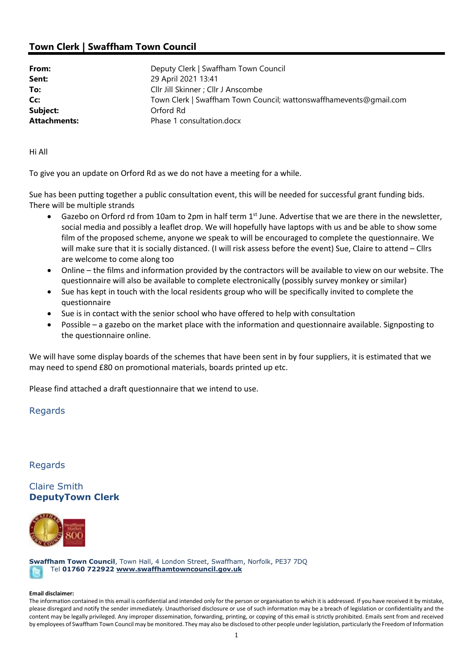## Town Clerk | Swaffham Town Council

| From:<br>Sent:      | Deputy Clerk   Swaffham Town Council<br>29 April 2021 13:41        |
|---------------------|--------------------------------------------------------------------|
| To:                 | Cllr Jill Skinner ; Cllr J Anscombe                                |
| Cc:                 | Town Clerk   Swaffham Town Council; wattonswaffhamevents@gmail.com |
| Subject:            | Orford Rd                                                          |
| <b>Attachments:</b> | Phase 1 consultation.docx                                          |

Hi All

To give you an update on Orford Rd as we do not have a meeting for a while.

Sue has been putting together a public consultation event, this will be needed for successful grant funding bids. There will be multiple strands

- Gazebo on Orford rd from 10am to 2pm in half term 1st June. Advertise that we are there in the newsletter, social media and possibly a leaflet drop. We will hopefully have laptops with us and be able to show some film of the proposed scheme, anyone we speak to will be encouraged to complete the questionnaire. We will make sure that it is socially distanced. (I will risk assess before the event) Sue, Claire to attend – Cllrs are welcome to come along too
- Online the films and information provided by the contractors will be available to view on our website. The questionnaire will also be available to complete electronically (possibly survey monkey or similar)
- Sue has kept in touch with the local residents group who will be specifically invited to complete the questionnaire
- Sue is in contact with the senior school who have offered to help with consultation
- Possible a gazebo on the market place with the information and questionnaire available. Signposting to the questionnaire online.

We will have some display boards of the schemes that have been sent in by four suppliers, it is estimated that we may need to spend £80 on promotional materials, boards printed up etc.

Please find attached a draft questionnaire that we intend to use.

## Regards

Regards

Claire Smith DeputyTown Clerk



Swaffham Town Council, Town Hall, 4 London Street, Swaffham, Norfolk, PE37 7DQ Tel 01760 722922 www.swaffhamtowncouncil.gov.uk

## Email disclaimer:

The information contained in this email is confidential and intended only for the person or organisation to which it is addressed. If you have received it by mistake, please disregard and notify the sender immediately. Unauthorised disclosure or use of such information may be a breach of legislation or confidentiality and the content may be legally privileged. Any improper dissemination, forwarding, printing, or copying of this email is strictly prohibited. Emails sent from and received by employees of Swaffham Town Council may be monitored. They may also be disclosed to other people under legislation, particularly the Freedom of Information